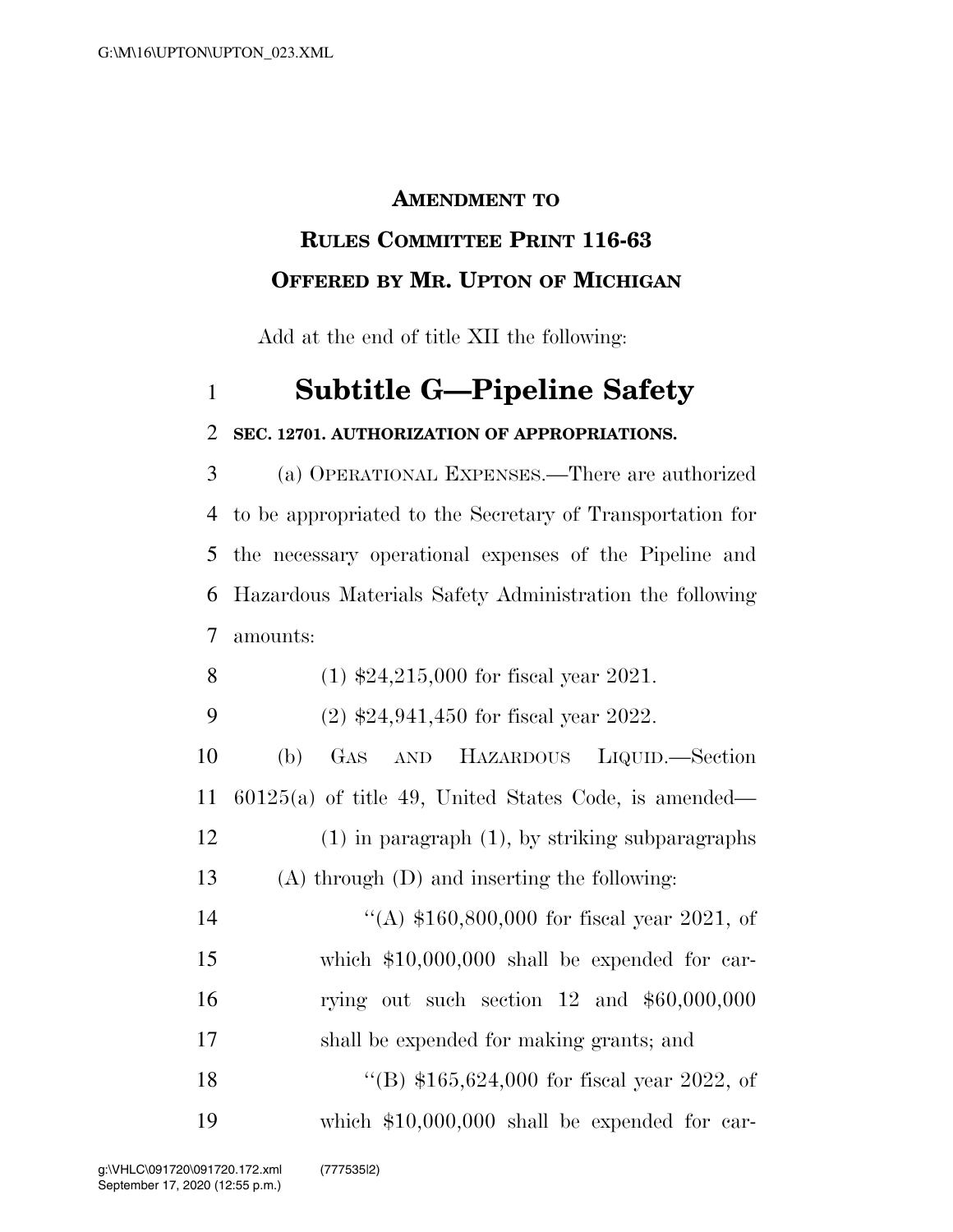### **AMENDMENT TO**

## **RULES COMMITTEE PRINT 116-63 OFFERED BY MR. UPTON OF MICHIGAN**

Add at the end of title XII the following:

# **Subtitle G—Pipeline Safety**

### **SEC. 12701. AUTHORIZATION OF APPROPRIATIONS.**

 (a) OPERATIONAL EXPENSES.—There are authorized to be appropriated to the Secretary of Transportation for the necessary operational expenses of the Pipeline and Hazardous Materials Safety Administration the following amounts:

- (1) \$24,215,000 for fiscal year 2021.
- (2) \$24,941,450 for fiscal year 2022.

 (b) GAS AND HAZARDOUS LIQUID.—Section 60125(a) of title 49, United States Code, is amended— (1) in paragraph (1), by striking subparagraphs (A) through (D) and inserting the following:

 ''(A) \$160,800,000 for fiscal year 2021, of which \$10,000,000 shall be expended for car- rying out such section 12 and \$60,000,000 shall be expended for making grants; and 18 "(B) \$165,624,000 for fiscal year 2022, of which \$10,000,000 shall be expended for car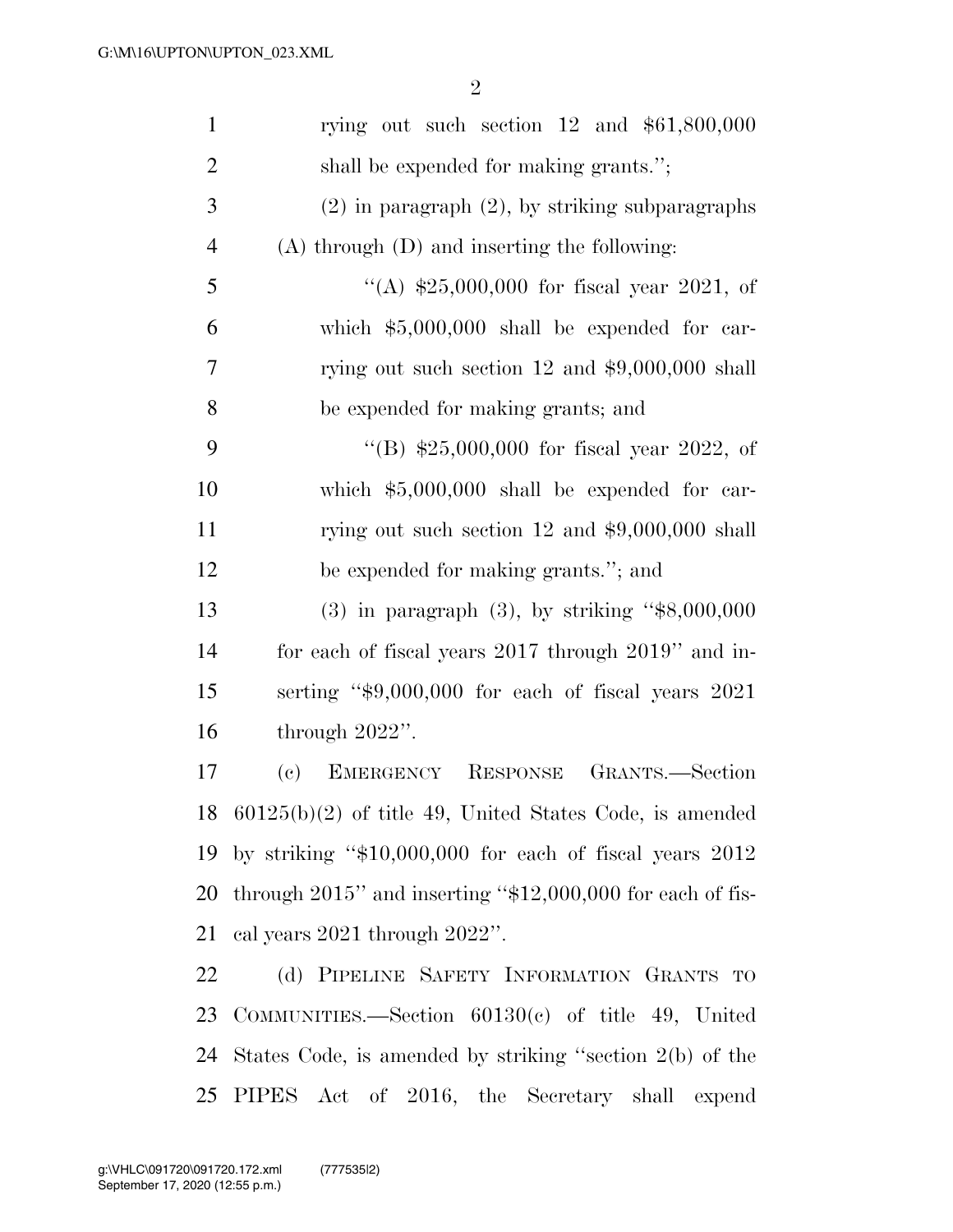| $\mathbf{1}$   | rying out such section $12$ and $$61,800,000$                   |
|----------------|-----------------------------------------------------------------|
| $\overline{2}$ | shall be expended for making grants.";                          |
| 3              | $(2)$ in paragraph $(2)$ , by striking subparagraphs            |
| $\overline{4}$ | $(A)$ through $(D)$ and inserting the following:                |
| 5              | "(A) $$25,000,000$ for fiscal year 2021, of                     |
| 6              | which $$5,000,000$ shall be expended for car-                   |
| $\overline{7}$ | rying out such section 12 and $$9,000,000$ shall                |
| 8              | be expended for making grants; and                              |
| 9              | "(B) $$25,000,000$ for fiscal year 2022, of                     |
| 10             | which $$5,000,000$ shall be expended for car-                   |
| 11             | rying out such section 12 and $$9,000,000$ shall                |
| 12             | be expended for making grants."; and                            |
| 13             | $(3)$ in paragraph $(3)$ , by striking "\$8,000,000             |
| 14             | for each of fiscal years 2017 through 2019" and in-             |
| 15             | serting "\$9,000,000 for each of fiscal years 2021              |
| 16             | through $2022$ ".                                               |
| 17             | GRANTS.-Section<br>EMERGENCY RESPONSE<br>(e)                    |
| 18             | $60125(b)(2)$ of title 49, United States Code, is amended       |
| 19             | by striking " $$10,000,000$ for each of fiscal years $2012$     |
| 20             | through $2015$ " and inserting " $$12,000,000$ for each of fis- |
| 21             | cal years $2021$ through $2022$ ".                              |
| 22             | (d) PIPELINE SAFETY INFORMATION GRANTS TO                       |
| 23             | COMMUNITIES.—Section $60130(c)$ of title 49, United             |
| 24             | States Code, is amended by striking "section 2(b) of the        |

PIPES Act of 2016, the Secretary shall expend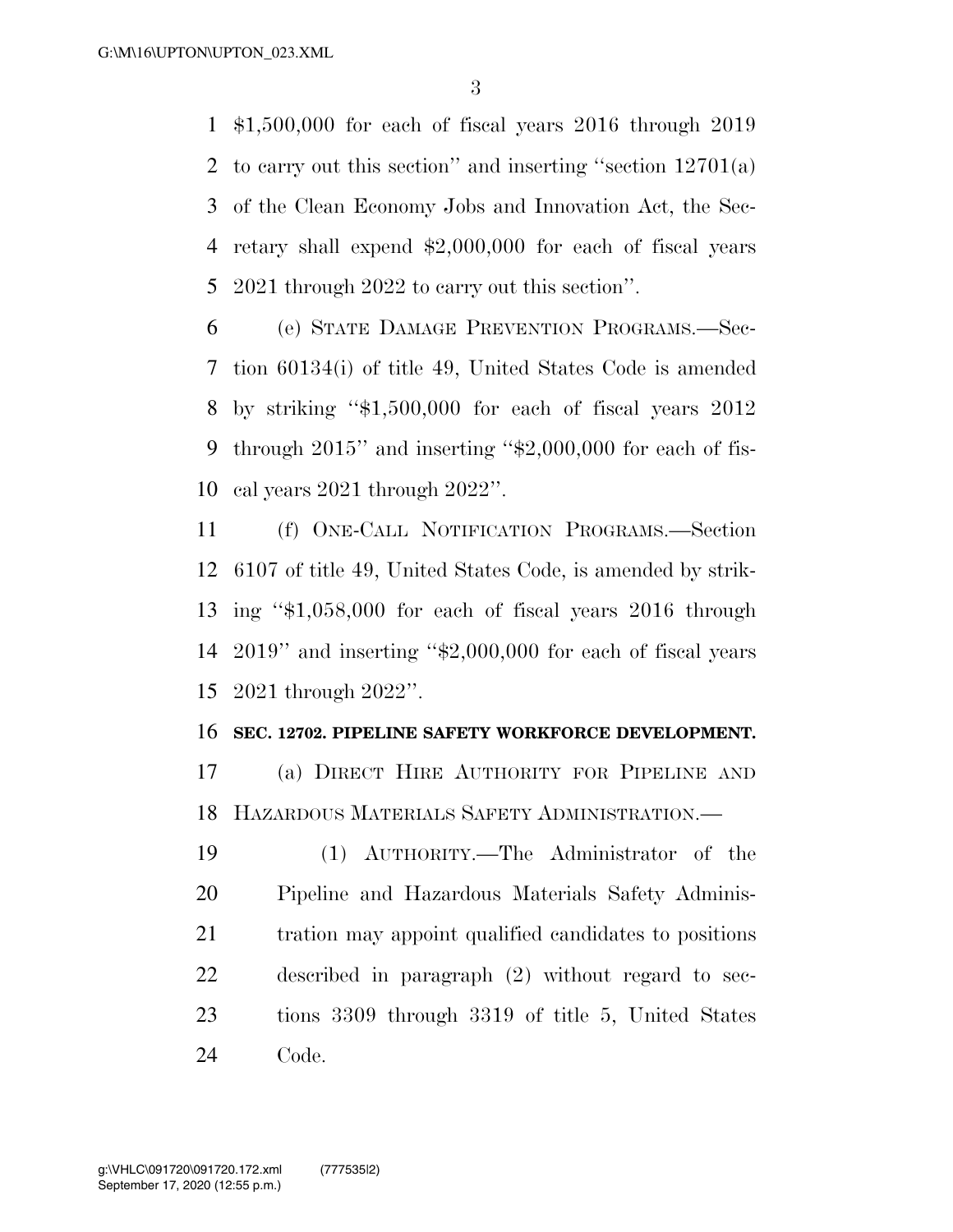\$1,500,000 for each of fiscal years 2016 through 2019 to carry out this section'' and inserting ''section 12701(a) of the Clean Economy Jobs and Innovation Act, the Sec- retary shall expend \$2,000,000 for each of fiscal years 2021 through 2022 to carry out this section''.

 (e) STATE DAMAGE PREVENTION PROGRAMS.—Sec- tion 60134(i) of title 49, United States Code is amended by striking ''\$1,500,000 for each of fiscal years 2012 through 2015'' and inserting ''\$2,000,000 for each of fis-cal years 2021 through 2022''.

 (f) ONE-CALL NOTIFICATION PROGRAMS.—Section 6107 of title 49, United States Code, is amended by strik- ing ''\$1,058,000 for each of fiscal years 2016 through 2019'' and inserting ''\$2,000,000 for each of fiscal years 2021 through 2022''.

#### **SEC. 12702. PIPELINE SAFETY WORKFORCE DEVELOPMENT.**

 (a) DIRECT HIRE AUTHORITY FOR PIPELINE AND HAZARDOUS MATERIALS SAFETY ADMINISTRATION.—

 (1) AUTHORITY.—The Administrator of the Pipeline and Hazardous Materials Safety Adminis- tration may appoint qualified candidates to positions described in paragraph (2) without regard to sec- tions 3309 through 3319 of title 5, United States Code.